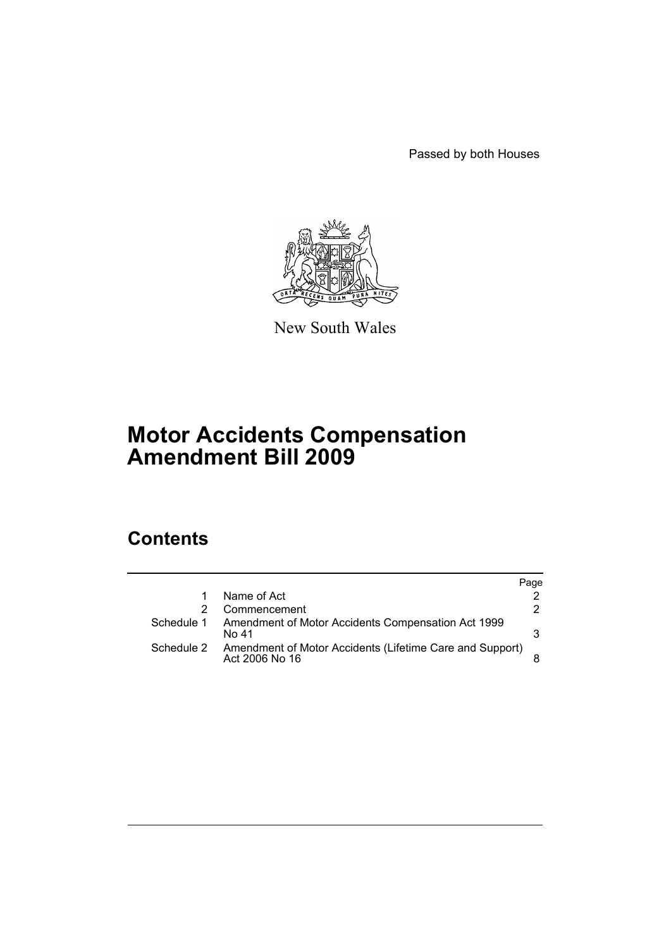Passed by both Houses



New South Wales

# **Motor Accidents Compensation Amendment Bill 2009**

# **Contents**

|            |                                                                            | Page |
|------------|----------------------------------------------------------------------------|------|
| 1          | Name of Act                                                                |      |
|            | Commencement                                                               | 2    |
| Schedule 1 | Amendment of Motor Accidents Compensation Act 1999<br>No 41                | 3    |
| Schedule 2 | Amendment of Motor Accidents (Lifetime Care and Support)<br>Act 2006 No 16 |      |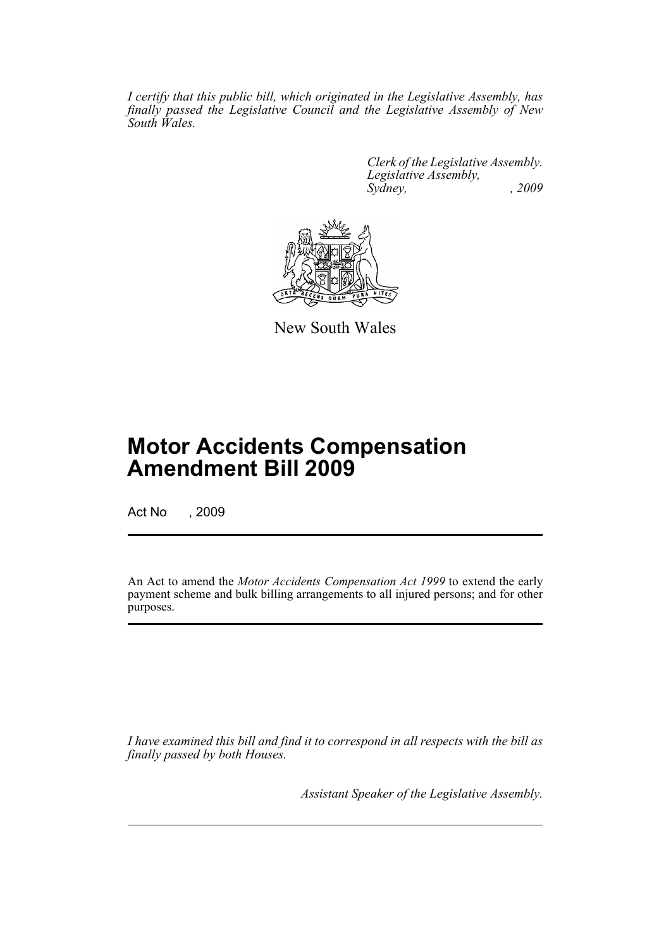*I certify that this public bill, which originated in the Legislative Assembly, has finally passed the Legislative Council and the Legislative Assembly of New South Wales.*

> *Clerk of the Legislative Assembly. Legislative Assembly, Sydney, , 2009*



New South Wales

# **Motor Accidents Compensation Amendment Bill 2009**

Act No , 2009

An Act to amend the *Motor Accidents Compensation Act 1999* to extend the early payment scheme and bulk billing arrangements to all injured persons; and for other purposes.

*I have examined this bill and find it to correspond in all respects with the bill as finally passed by both Houses.*

*Assistant Speaker of the Legislative Assembly.*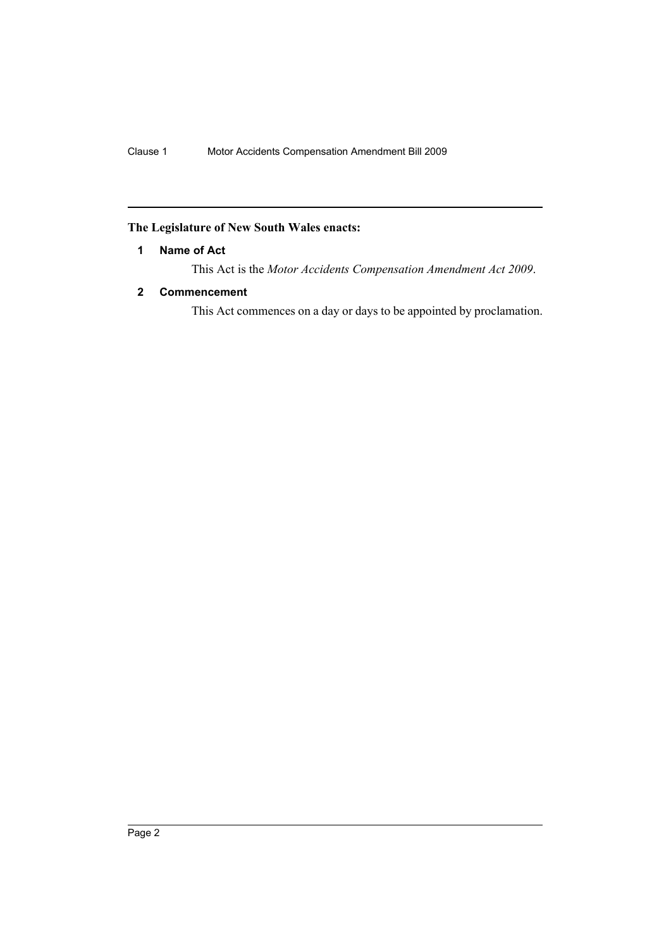# <span id="page-3-0"></span>**The Legislature of New South Wales enacts:**

# **1 Name of Act**

This Act is the *Motor Accidents Compensation Amendment Act 2009*.

# <span id="page-3-1"></span>**2 Commencement**

This Act commences on a day or days to be appointed by proclamation.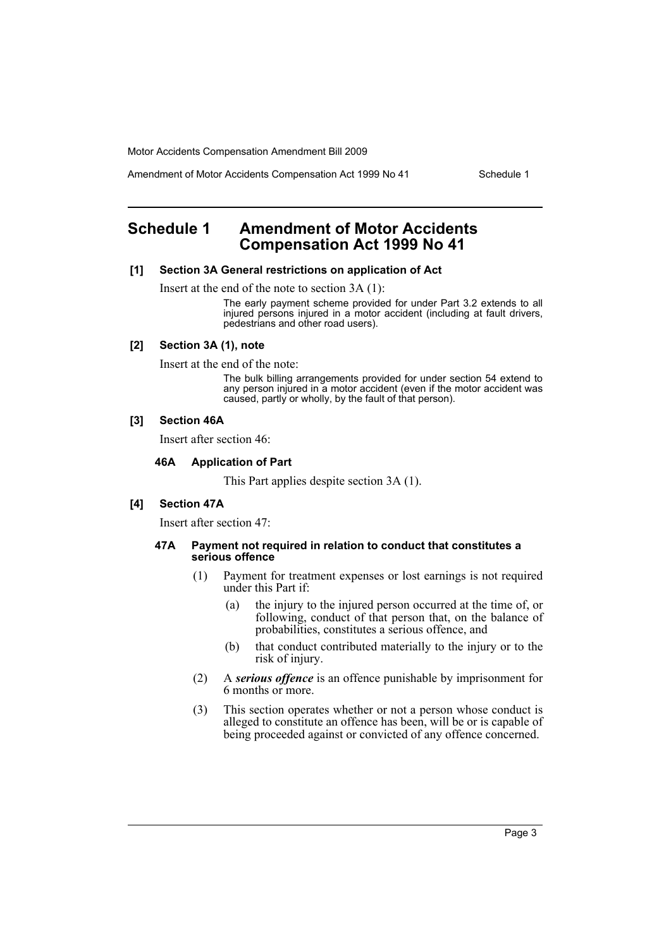Amendment of Motor Accidents Compensation Act 1999 No 41 Schedule 1

# <span id="page-4-0"></span>**Schedule 1 Amendment of Motor Accidents Compensation Act 1999 No 41**

#### **[1] Section 3A General restrictions on application of Act**

Insert at the end of the note to section 3A (1):

The early payment scheme provided for under Part 3.2 extends to all injured persons injured in a motor accident (including at fault drivers, pedestrians and other road users).

#### **[2] Section 3A (1), note**

Insert at the end of the note:

The bulk billing arrangements provided for under section 54 extend to any person injured in a motor accident (even if the motor accident was caused, partly or wholly, by the fault of that person).

#### **[3] Section 46A**

Insert after section 46:

#### **46A Application of Part**

This Part applies despite section 3A (1).

#### **[4] Section 47A**

Insert after section 47:

#### **47A Payment not required in relation to conduct that constitutes a serious offence**

- (1) Payment for treatment expenses or lost earnings is not required under this Part if:
	- (a) the injury to the injured person occurred at the time of, or following, conduct of that person that, on the balance of probabilities, constitutes a serious offence, and
	- (b) that conduct contributed materially to the injury or to the risk of injury.
- (2) A *serious offence* is an offence punishable by imprisonment for 6 months or more.
- (3) This section operates whether or not a person whose conduct is alleged to constitute an offence has been, will be or is capable of being proceeded against or convicted of any offence concerned.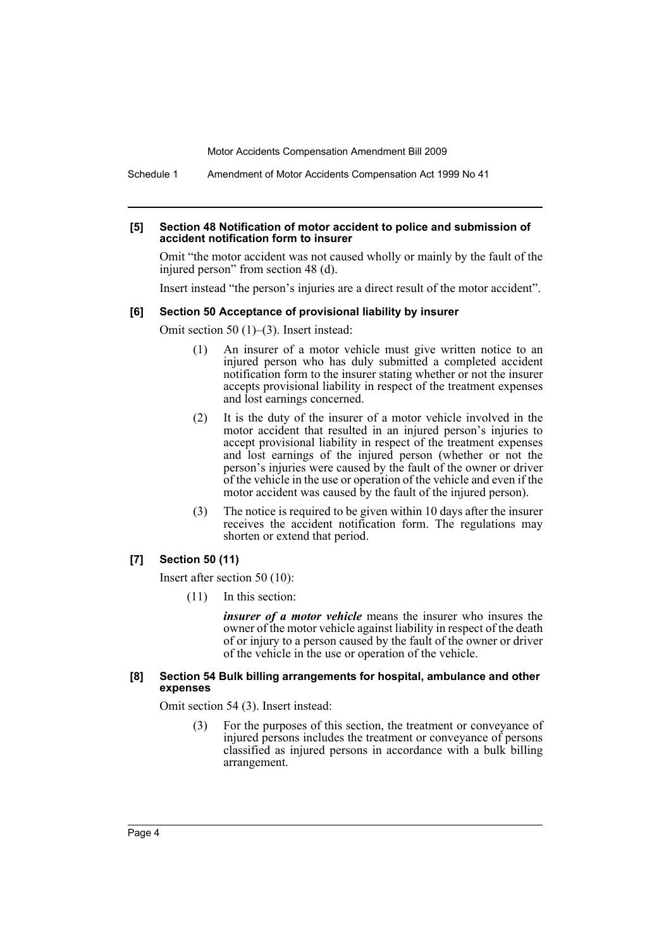Schedule 1 Amendment of Motor Accidents Compensation Act 1999 No 41

#### **[5] Section 48 Notification of motor accident to police and submission of accident notification form to insurer**

Omit "the motor accident was not caused wholly or mainly by the fault of the injured person" from section 48 (d).

Insert instead "the person's injuries are a direct result of the motor accident".

#### **[6] Section 50 Acceptance of provisional liability by insurer**

Omit section 50 (1)–(3). Insert instead:

- (1) An insurer of a motor vehicle must give written notice to an injured person who has duly submitted a completed accident notification form to the insurer stating whether or not the insurer accepts provisional liability in respect of the treatment expenses and lost earnings concerned.
- (2) It is the duty of the insurer of a motor vehicle involved in the motor accident that resulted in an injured person's injuries to accept provisional liability in respect of the treatment expenses and lost earnings of the injured person (whether or not the person's injuries were caused by the fault of the owner or driver of the vehicle in the use or operation of the vehicle and even if the motor accident was caused by the fault of the injured person).
- (3) The notice is required to be given within 10 days after the insurer receives the accident notification form. The regulations may shorten or extend that period.

#### **[7] Section 50 (11)**

Insert after section 50 (10):

(11) In this section:

*insurer of a motor vehicle* means the insurer who insures the owner of the motor vehicle against liability in respect of the death of or injury to a person caused by the fault of the owner or driver of the vehicle in the use or operation of the vehicle.

#### **[8] Section 54 Bulk billing arrangements for hospital, ambulance and other expenses**

Omit section 54 (3). Insert instead:

(3) For the purposes of this section, the treatment or conveyance of injured persons includes the treatment or conveyance of persons classified as injured persons in accordance with a bulk billing arrangement.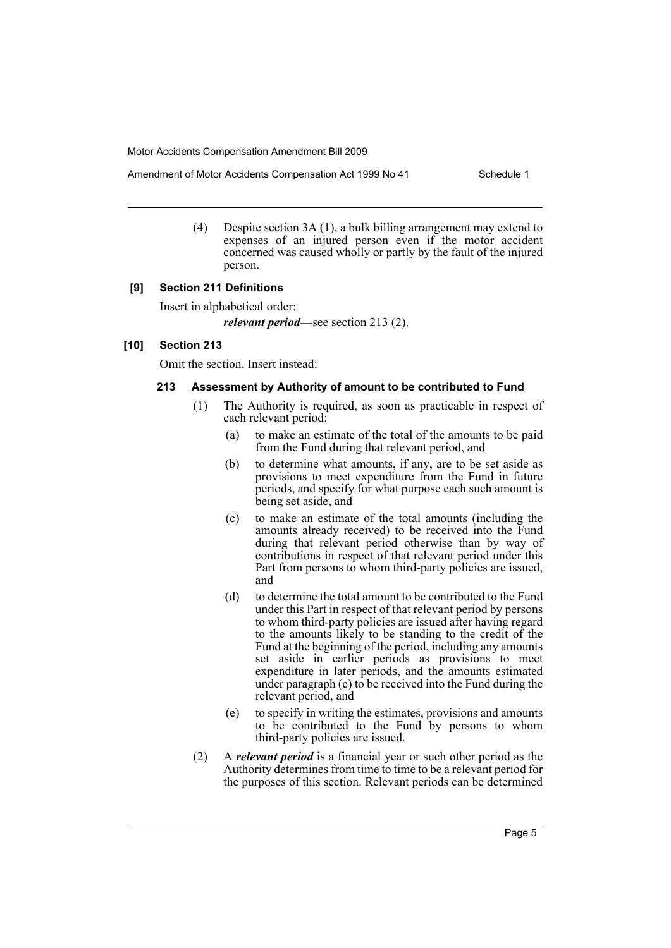Amendment of Motor Accidents Compensation Act 1999 No 41 Schedule 1

(4) Despite section 3A (1), a bulk billing arrangement may extend to expenses of an injured person even if the motor accident concerned was caused wholly or partly by the fault of the injured person.

### **[9] Section 211 Definitions**

Insert in alphabetical order:

*relevant period*—see section 213 (2).

#### **[10] Section 213**

Omit the section. Insert instead:

#### **213 Assessment by Authority of amount to be contributed to Fund**

- (1) The Authority is required, as soon as practicable in respect of each relevant period:
	- (a) to make an estimate of the total of the amounts to be paid from the Fund during that relevant period, and
	- (b) to determine what amounts, if any, are to be set aside as provisions to meet expenditure from the Fund in future periods, and specify for what purpose each such amount is being set aside, and
	- (c) to make an estimate of the total amounts (including the amounts already received) to be received into the Fund during that relevant period otherwise than by way of contributions in respect of that relevant period under this Part from persons to whom third-party policies are issued, and
	- (d) to determine the total amount to be contributed to the Fund under this Part in respect of that relevant period by persons to whom third-party policies are issued after having regard to the amounts likely to be standing to the credit of the Fund at the beginning of the period, including any amounts set aside in earlier periods as provisions to meet expenditure in later periods, and the amounts estimated under paragraph (c) to be received into the Fund during the relevant period, and
	- (e) to specify in writing the estimates, provisions and amounts to be contributed to the Fund by persons to whom third-party policies are issued.
- (2) A *relevant period* is a financial year or such other period as the Authority determines from time to time to be a relevant period for the purposes of this section. Relevant periods can be determined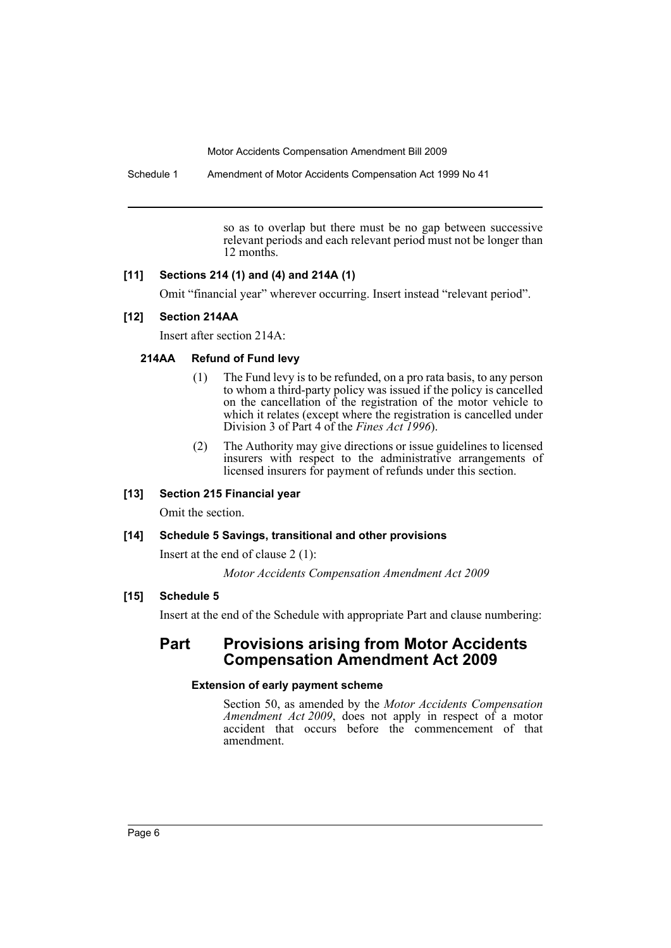Schedule 1 Amendment of Motor Accidents Compensation Act 1999 No 41

so as to overlap but there must be no gap between successive relevant periods and each relevant period must not be longer than 12 months.

# **[11] Sections 214 (1) and (4) and 214A (1)**

Omit "financial year" wherever occurring. Insert instead "relevant period".

# **[12] Section 214AA**

Insert after section 214A:

### **214AA Refund of Fund levy**

- (1) The Fund levy is to be refunded, on a pro rata basis, to any person to whom a third-party policy was issued if the policy is cancelled on the cancellation of the registration of the motor vehicle to which it relates (except where the registration is cancelled under Division 3 of Part 4 of the *Fines Act 1996*).
- (2) The Authority may give directions or issue guidelines to licensed insurers with respect to the administrative arrangements of licensed insurers for payment of refunds under this section.

# **[13] Section 215 Financial year**

Omit the section.

## **[14] Schedule 5 Savings, transitional and other provisions**

Insert at the end of clause 2 (1):

*Motor Accidents Compensation Amendment Act 2009*

# **[15] Schedule 5**

Insert at the end of the Schedule with appropriate Part and clause numbering:

# **Part Provisions arising from Motor Accidents Compensation Amendment Act 2009**

## **Extension of early payment scheme**

Section 50, as amended by the *Motor Accidents Compensation Amendment Act 2009*, does not apply in respect of a motor accident that occurs before the commencement of that amendment.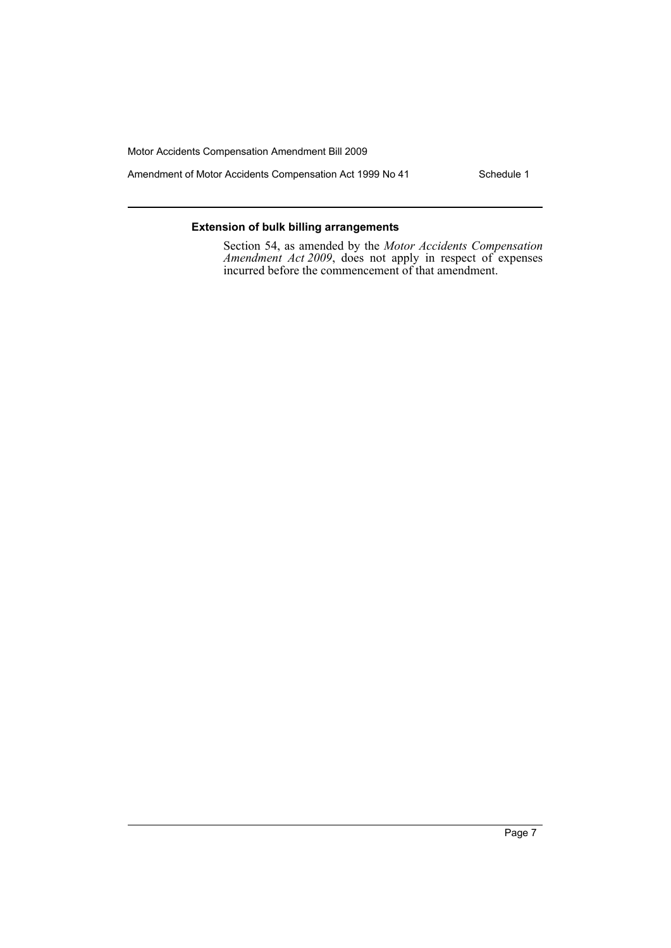Amendment of Motor Accidents Compensation Act 1999 No 41 Schedule 1

### **Extension of bulk billing arrangements**

Section 54, as amended by the *Motor Accidents Compensation Amendment Act 2009*, does not apply in respect of expenses incurred before the commencement of that amendment.